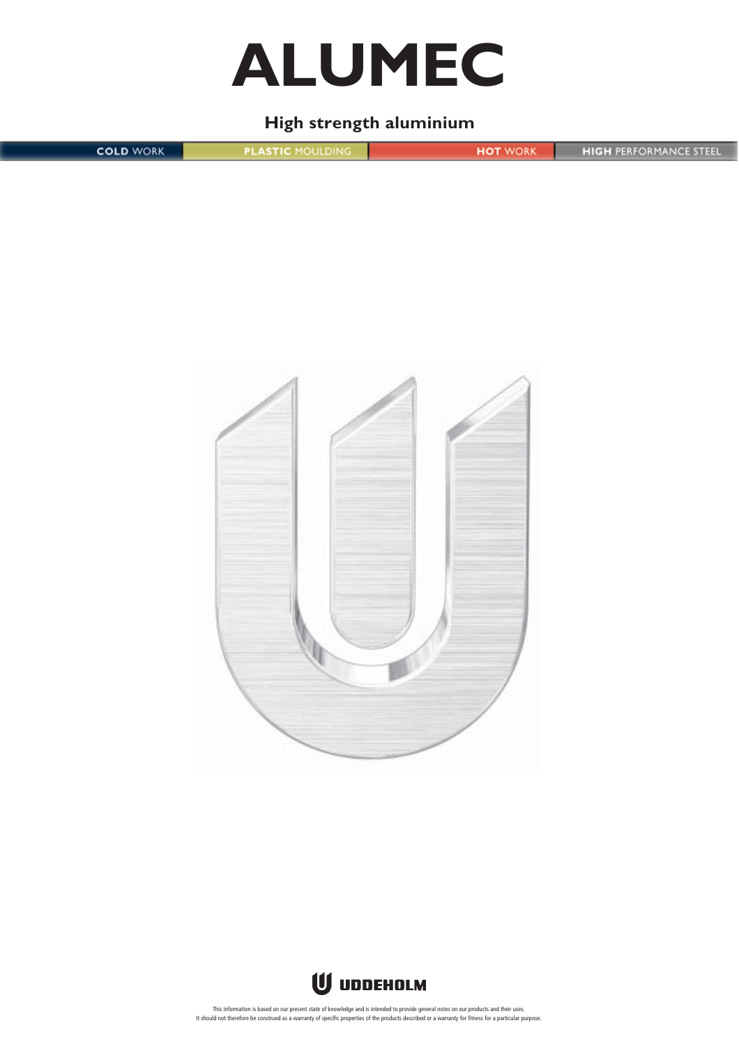

## **High strength aluminium**

**COLD WORK PLASTIC MOULDING HIGH PERFORMANCE STEEL HOT WORK** 





This information is based on our present state of knowledge and is intended to provide general notes on our products and their uses. It should not therefore be construed as a warranty of specific properties of the products described or a warranty for fitness for a particular purpose.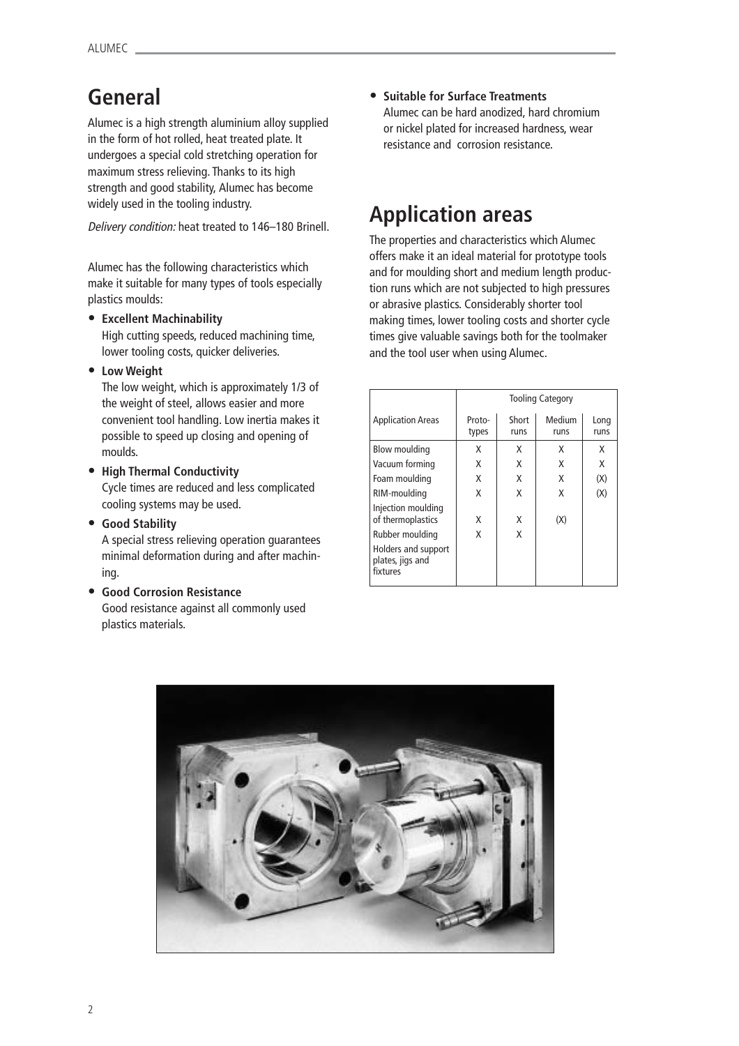## **General**

Alumec is a high strength aluminium alloy supplied in the form of hot rolled, heat treated plate. It undergoes a special cold stretching operation for maximum stress relieving. Thanks to its high strength and good stability, Alumec has become widely used in the tooling industry.

Alumec has the following characteristics which make it suitable for many types of tools especially plastics moulds:

**• Excellent Machinability**

High cutting speeds, reduced machining time, lower tooling costs, quicker deliveries.

**• Low Weight**

The low weight, which is approximately 1/3 of the weight of steel, allows easier and more convenient tool handling. Low inertia makes it possible to speed up closing and opening of moulds.

- **• High Thermal Conductivity** Cycle times are reduced and less complicated cooling systems may be used.
- **• Good Stability**

A special stress relieving operation guarantees minimal deformation during and after machining.

**• Good Corrosion Resistance** Good resistance against all commonly used plastics materials.

**• Suitable for Surface Treatments** Alumec can be hard anodized, hard chromium or nickel plated for increased hardness, wear resistance and corrosion resistance.

# widely used in the tooling industry.<br>*Delivery condition:* heat treated to 146–180 Brinell. **Application areas**

The properties and characteristics which Alumec offers make it an ideal material for prototype tools and for moulding short and medium length production runs which are not subjected to high pressures or abrasive plastics. Considerably shorter tool making times, lower tooling costs and shorter cycle times give valuable savings both for the toolmaker and the tool user when using Alumec.

|                                                     | <b>Tooling Category</b> |               |                |              |
|-----------------------------------------------------|-------------------------|---------------|----------------|--------------|
| <b>Application Areas</b>                            | Proto-<br>types         | Short<br>runs | Medium<br>runs | Long<br>runs |
| Blow moulding                                       | x                       | x             | X              | X            |
| Vacuum forming                                      | x                       | X             | X              | X            |
| Foam moulding                                       | X                       | X             | X              | (X)          |
| RIM-moulding                                        | x                       | X             | X              | (X)          |
| Injection moulding<br>of thermoplastics             | x                       | X             | (X)            |              |
| Rubber moulding                                     | x                       | X             |                |              |
| Holders and support<br>plates, jigs and<br>fixtures |                         |               |                |              |

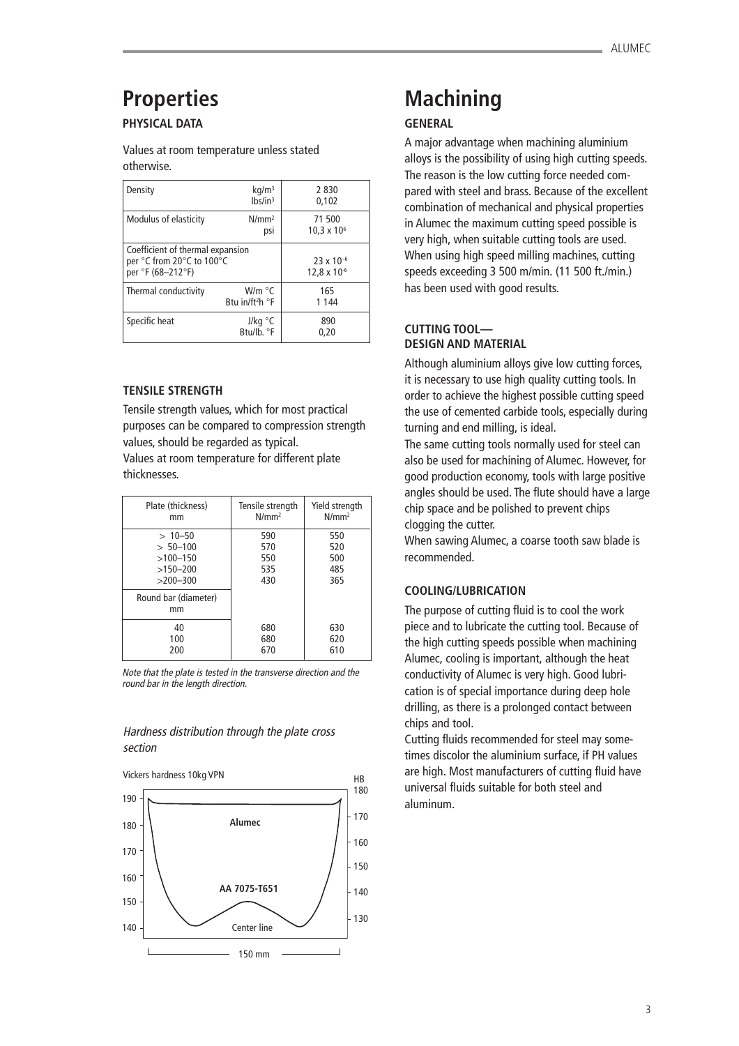# **Properties**

## **PHYSICAL DATA**

Values at room temperature unless stated otherwise.

| Density                                                                            | kg/m <sup>3</sup><br>$lbs/in^3$                | 2830<br>0.102                                |
|------------------------------------------------------------------------------------|------------------------------------------------|----------------------------------------------|
| Modulus of elasticity                                                              | $N/mm^2$<br>psi                                | 71 500<br>$10,3 \times 10^{6}$               |
| Coefficient of thermal expansion<br>per °C from 20°C to 100°C<br>per °F (68-212°F) |                                                | $23 \times 10^{-6}$<br>$12,8 \times 10^{-6}$ |
| Thermal conductivity                                                               | W/m °C<br>Btu in/ft <sup>2</sup> h $\degree$ F | 165<br>1 1 4 4                               |
| Specific heat                                                                      | J/kg $\degree$ C<br>Btu/lb. °F                 | 890<br>0.20                                  |

#### **TENSILE STRENGTH**

Tensile strength values, which for most practical purposes can be compared to compression strength values, should be regarded as typical. Values at room temperature for different plate thicknesses.

| Plate (thickness)          | Tensile strength | Yield strength |
|----------------------------|------------------|----------------|
| mm                         | $N/mm^2$         | $N/mm^2$       |
| $>10-50$                   | 590              | 550            |
| $> 50 - 100$               | 570              | 520            |
| $>100 - 150$               | 550              | 500            |
| $>150-200$                 | 535              | 485            |
| $>200-300$                 | 430              | 365            |
| Round bar (diameter)<br>mm |                  |                |
| 40                         | 680              | 630            |
| 100                        | 680              | 620            |
| 200                        | 670              | 610            |

Note that the plate is tested in the transverse direction and the round bar in the length direction.

### Hardness distribution through the plate cross section



## **Machining**

### **GENERAL**

A major advantage when machining aluminium alloys is the possibility of using high cutting speeds. The reason is the low cutting force needed compared with steel and brass. Because of the excellent combination of mechanical and physical properties in Alumec the maximum cutting speed possible is very high, when suitable cutting tools are used. When using high speed milling machines, cutting speeds exceeding 3 500 m/min. (11 500 ft./min.) has been used with good results.

## **CUTTING TOOL— DESIGN AND MATERIAL**

Although aluminium alloys give low cutting forces, it is necessary to use high quality cutting tools. In order to achieve the highest possible cutting speed the use of cemented carbide tools, especially during turning and end milling, is ideal.

The same cutting tools normally used for steel can also be used for machining of Alumec. However, for good production economy, tools with large positive angles should be used. The flute should have a large chip space and be polished to prevent chips clogging the cutter.

When sawing Alumec, a coarse tooth saw blade is recommended.

### **COOLING/LUBRICATION**

The purpose of cutting fluid is to cool the work piece and to lubricate the cutting tool. Because of the high cutting speeds possible when machining Alumec, cooling is important, although the heat conductivity of Alumec is very high. Good lubrication is of special importance during deep hole drilling, as there is a prolonged contact between chips and tool.

Cutting fluids recommended for steel may sometimes discolor the aluminium surface, if PH values are high. Most manufacturers of cutting fluid have universal fluids suitable for both steel and aluminum.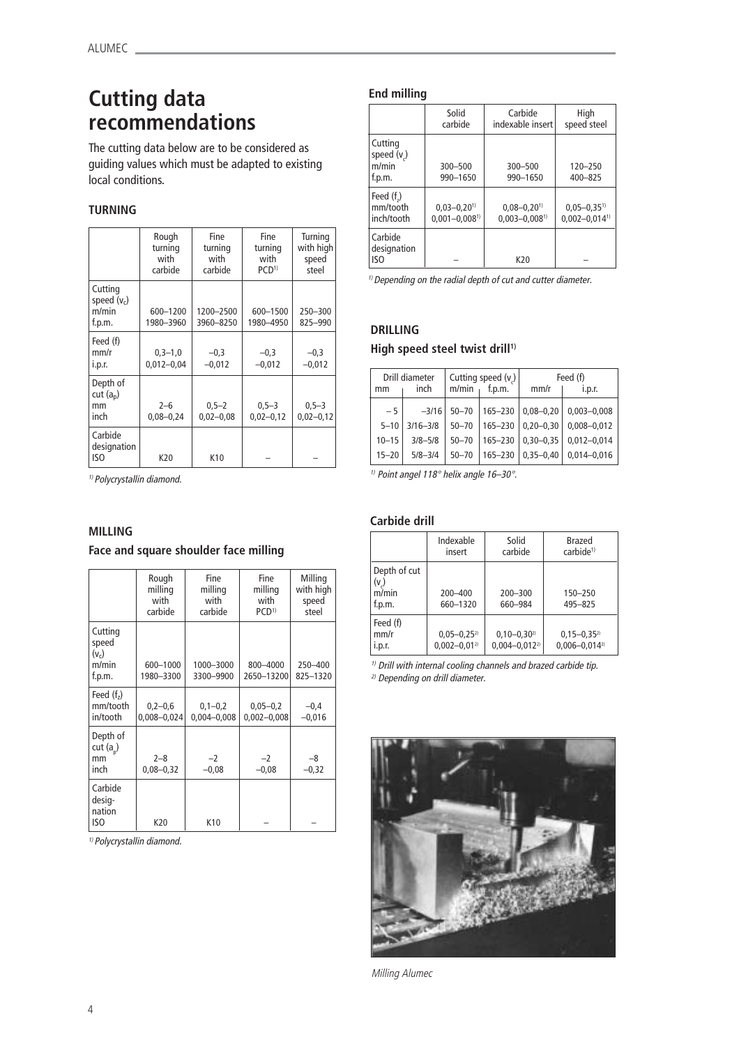## **Cutting data recommendations**

The cutting data below are to be considered as guiding values which must be adapted to existing local conditions.

### **TURNING**

|                                                | Rough<br>turning<br>with<br>carbide | Fine<br>turning<br>with<br>carbide | Fine<br>turning<br>with<br>PCD <sup>1</sup> | Turning<br>with high<br>speed<br>steel |
|------------------------------------------------|-------------------------------------|------------------------------------|---------------------------------------------|----------------------------------------|
| Cutting<br>speed $(v_c)$<br>m/min<br>f.p.m.    | 600-1200<br>1980-3960               | 1200-2500<br>3960-8250             | 600-1500<br>1980-4950                       | 250-300<br>825-990                     |
| Feed (f)<br>mm/r<br>i.p.r.                     | $0.3 - 1.0$<br>$0,012 - 0,04$       | $-0.3$<br>$-0.012$                 | $-0.3$<br>$-0,012$                          | $-0.3$<br>$-0,012$                     |
| Depth of<br>cut(a <sub>n</sub> )<br>mm<br>inch | $2 - 6$<br>$0,08 - 0,24$            | $0,5 - 2$<br>$0,02 - 0,08$         | $0,5 - 3$<br>$0,02 - 0,12$                  | $0, 5 - 3$<br>$0,02 - 0,12$            |
| Carbide<br>designation<br>ISO                  | K20                                 | K10                                |                                             |                                        |

1) Polycrystallin diamond.

### **MILLING**

**Face and square shoulder face milling**

|                                                | Rough<br>milling<br>with<br>carbide | Fine<br>milling<br>with<br>carbide | <b>Fine</b><br>milling<br>with<br>PCD <sup>1</sup> | Milling<br>with high<br>speed<br>steel |
|------------------------------------------------|-------------------------------------|------------------------------------|----------------------------------------------------|----------------------------------------|
| Cutting<br>speed<br>$(v_c)$<br>m/min<br>f.p.m. | 600-1000<br>1980-3300               | 1000-3000<br>3300-9900             | 800-4000<br>2650-13200                             | 250-400<br>825-1320                    |
| Feed $(f2)$<br>mm/tooth<br>in/tooth            | $0,2-0,6$<br>0,008-0,024            | $0,1-0,2$<br>$0,004 - 0,008$       | $0,05 - 0,2$<br>$0,002 - 0,008$                    | $-0,4$<br>$-0,016$                     |
| Depth of<br>cut $(a_n)$<br>mm<br>inch          | $2 - 8$<br>$0,08 - 0,32$            | $-2$<br>$-0,08$                    | $-2$<br>$-0,08$                                    | $-8$<br>$-0,32$                        |
| Carbide<br>desig-<br>nation<br>ISO             | K20                                 | K10                                |                                                    |                                        |

1) Polycrystallin diamond.

### **End milling**

|                                            | Solid<br>carbide                                             | Carbide<br>indexable insert                                  | High<br>speed steel                                          |
|--------------------------------------------|--------------------------------------------------------------|--------------------------------------------------------------|--------------------------------------------------------------|
| Cutting<br>speed $(vc)$<br>m/min<br>f.p.m. | 300-500<br>990-1650                                          | 300-500<br>990-1650                                          | 120-250<br>400-825                                           |
| Feed $(f2)$<br>mm/tooth<br>inch/tooth      | $0,03 - 0,20$ <sup>1)</sup><br>$0,001 - 0,008$ <sup>1)</sup> | $0,08 - 0,20$ <sup>1)</sup><br>$0,003 - 0,008$ <sup>1)</sup> | $0,05 - 0,35$ <sup>1)</sup><br>$0,002 - 0,014$ <sup>1)</sup> |
| Carbide<br>designation<br>ISO              |                                                              | K20                                                          |                                                              |

 $1)$  Depending on the radial depth of cut and cutter diameter.

## **DRILLING**

### **High speed steel twist drill<sup>1)</sup>**

| mm        | Drill diameter<br>inch | m/min     | Cutting speed $(v_2)$<br>f.p.m. | mm/r          | Feed (f)<br>i.p.r. |
|-----------|------------------------|-----------|---------------------------------|---------------|--------------------|
| $-5$      | $-3/16$                | $50 - 70$ | 165-230                         | $0.08 - 0.20$ | $0,003 - 0,008$    |
| $5 - 10$  | $3/16 - 3/8$           | $50 - 70$ | $165 - 230$                     | $0.20 - 0.30$ | $0.008 - 0.012$    |
| $10 - 15$ | $3/8 - 5/8$            | $50 - 70$ | 165-230                         | $0.30 - 0.35$ | $0,012 - 0,014$    |
| $15 - 20$ | $5/8 - 3/4$            | $50 - 70$ | 165-230                         | $0.35 - 0.40$ | $0.014 - 0.016$    |

<sup>1)</sup> Point angel 118° helix angle 16-30°.

#### **Carbide drill**

|                                              | Indexable<br>insert                     | Solid<br>carbide                       | Brazed<br>carbide <sup>1)</sup>        |
|----------------------------------------------|-----------------------------------------|----------------------------------------|----------------------------------------|
| Depth of cut<br>$(v_{c})$<br>m/min<br>f.p.m. | $200 - 400$<br>660-1320                 | 200-300<br>660-984                     | 150-250<br>495-825                     |
| Feed (f)<br>mm/r<br>I.p.r.                   | $0,05 - 0,25^{2}$<br>$0,002 - 0,01^{2}$ | $0,10-0,30^{2}$<br>$0,004 - 0,012^{2}$ | $0,15-0,35^{2}$<br>$0,006 - 0,014^{2}$ |

 $1)$  Drill with internal cooling channels and brazed carbide tip. 2) Depending on drill diameter.



Milling Alumec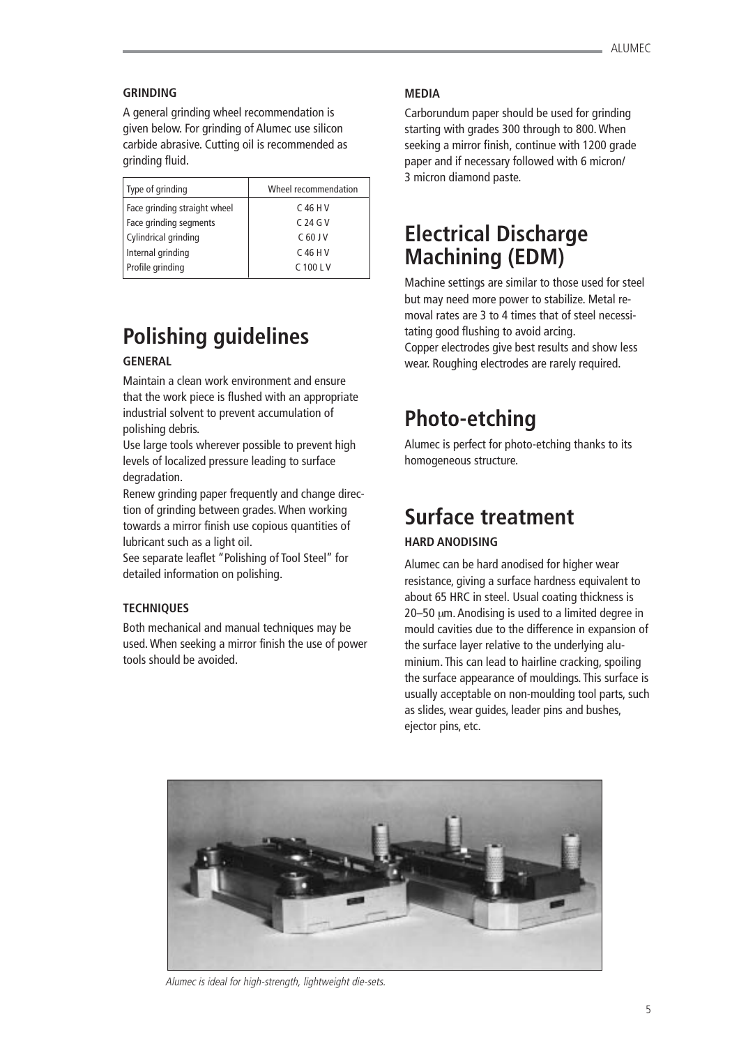#### **GRINDING**

A general grinding wheel recommendation is given below. For grinding of Alumec use silicon carbide abrasive. Cutting oil is recommended as grinding fluid.

| Type of grinding             | Wheel recommendation |
|------------------------------|----------------------|
| Face grinding straight wheel | C 46 H V             |
| Face grinding segments       | C 24 G V             |
| Cylindrical grinding         | $C$ 60 J V           |
| Internal grinding            | C 46 H V             |
| Profile grinding             | C 100 L V            |

## **Polishing guidelines**

## **GENERAL**

Maintain a clean work environment and ensure that the work piece is flushed with an appropriate industrial solvent to prevent accumulation of polishing debris.

Use large tools wherever possible to prevent high levels of localized pressure leading to surface degradation.

Renew grinding paper frequently and change direction of grinding between grades. When working towards a mirror finish use copious quantities of lubricant such as a light oil.

See separate leaflet "Polishing of Tool Steel" for detailed information on polishing.

#### **TECHNIQUES**

Both mechanical and manual techniques may be used. When seeking a mirror finish the use of power tools should be avoided.

#### **MEDIA**

Carborundum paper should be used for grinding starting with grades 300 through to 800. When seeking a mirror finish, continue with 1200 grade paper and if necessary followed with 6 micron/ 3 micron diamond paste.

## **Electrical Discharge Machining (EDM)**

Machine settings are similar to those used for steel but may need more power to stabilize. Metal removal rates are 3 to 4 times that of steel necessitating good flushing to avoid arcing. Copper electrodes give best results and show less wear. Roughing electrodes are rarely required.

## **Photo-etching**

Alumec is perfect for photo-etching thanks to its homogeneous structure.

## **Surface treatment**

## **HARD ANODISING**

Alumec can be hard anodised for higher wear resistance, giving a surface hardness equivalent to about 65 HRC in steel. Usual coating thickness is 20–50 µm. Anodising is used to a limited degree in mould cavities due to the difference in expansion of the surface layer relative to the underlying aluminium. This can lead to hairline cracking, spoiling the surface appearance of mouldings. This surface is usually acceptable on non-moulding tool parts, such as slides, wear guides, leader pins and bushes, ejector pins, etc.



Alumec is ideal for high-strength, lightweight die-sets.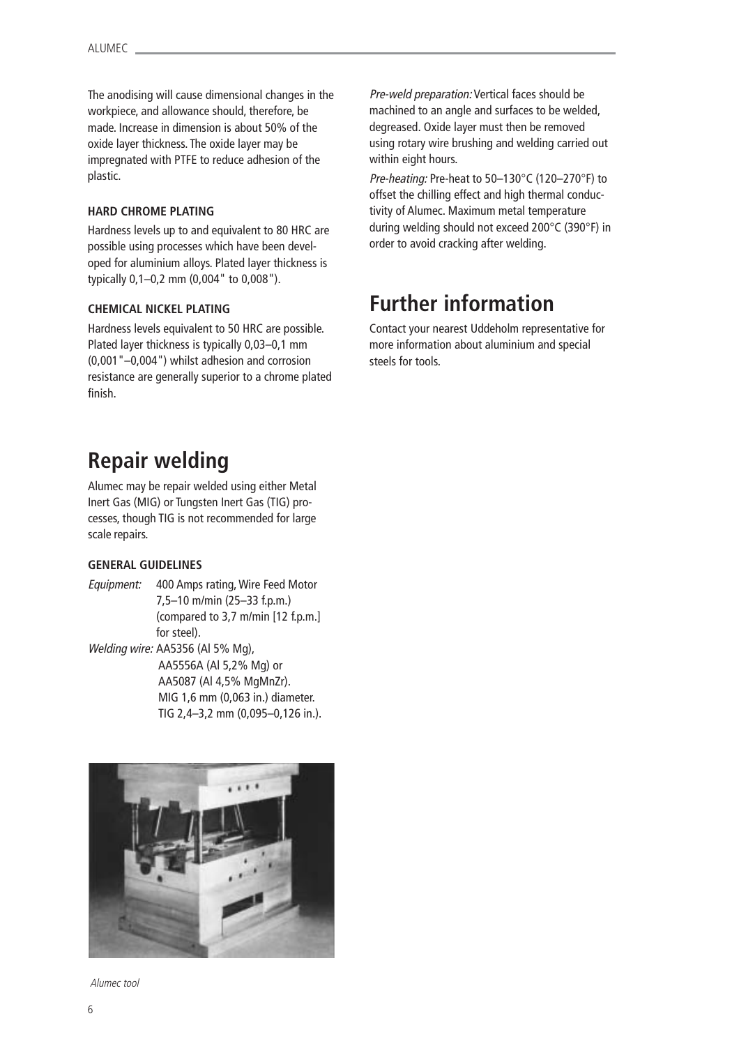The anodising will cause dimensional changes in the workpiece, and allowance should, therefore, be made. Increase in dimension is about 50% of the oxide layer thickness. The oxide layer may be impregnated with PTFE to reduce adhesion of the plastic.

### **HARD CHROME PLATING**

Hardness levels up to and equivalent to 80 HRC are possible using processes which have been developed for aluminium alloys. Plated layer thickness is typically 0,1–0,2 mm (0,004" to 0,008").

### **CHEMICAL NICKEL PLATING**

Hardness levels equivalent to 50 HRC are possible. Plated layer thickness is typically 0,03–0,1 mm (0,001"–0,004") whilst adhesion and corrosion resistance are generally superior to a chrome plated finish.

## **Repair welding**

Alumec may be repair welded using either Metal Inert Gas (MIG) or Tungsten Inert Gas (TIG) processes, though TIG is not recommended for large scale repairs.

### **GENERAL GUIDELINES**

Equipment: 400 Amps rating, Wire Feed Motor 7,5–10 m/min (25–33 f.p.m.) (compared to 3,7 m/min [12 f.p.m.] for steel). Welding wire: AA5356 (Al 5% Mg), AA5556A (Al 5,2% Mg) or AA5087 (Al 4,5% MgMnZr). MIG 1,6 mm (0,063 in.) diameter. TIG 2,4–3,2 mm (0,095–0,126 in.).



Alumec tool

Pre-weld preparation: Vertical faces should be machined to an angle and surfaces to be welded, degreased. Oxide layer must then be removed using rotary wire brushing and welding carried out within eight hours.

Pre-heating: Pre-heat to 50–130°C (120–270°F) to offset the chilling effect and high thermal conductivity of Alumec. Maximum metal temperature during welding should not exceed 200°C (390°F) in order to avoid cracking after welding.

## **Further information**

Contact your nearest Uddeholm representative for more information about aluminium and special steels for tools.